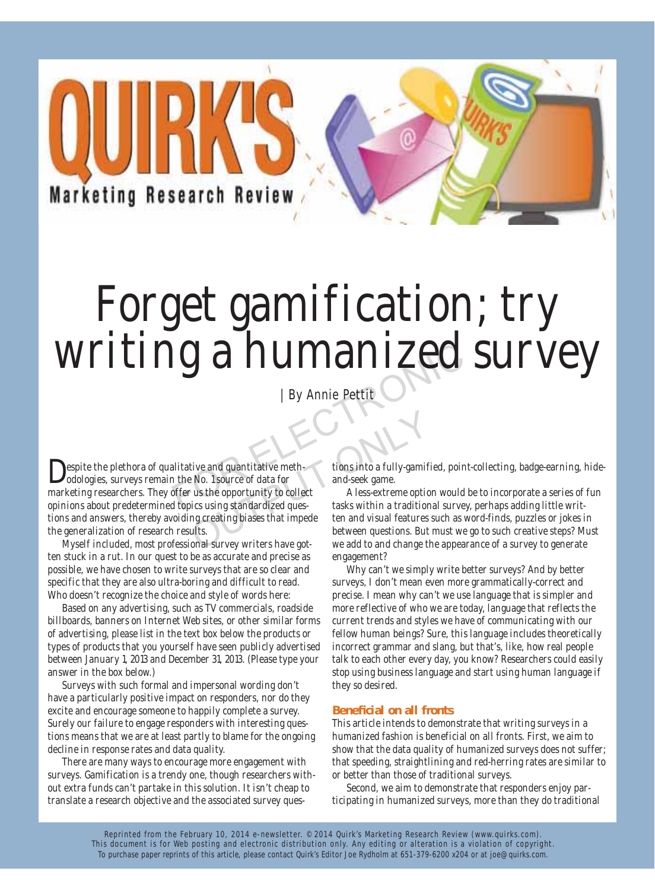**Marketing Research Review** 

# Forget gamification; try writing a humanized survey IS a minimalitative and quantitative meth-<br>alitative and quantitative meth-<br>and the No. 1 source of data for and seek game.<br>offer us the opportunity to collect and seek game.<br>A less-extreme option would be dupics using sta

| By Annie Pettit

espite the plethora of qualitative and quantitative methodologies, surveys remain the No. 1 source of data for marketing researchers. They offer us the opportunity to collect opinions about predetermined topics using standardized questions and answers, thereby avoiding creating biases that impede the generalization of research results. tive and quantitative meth-<br>
b No. 1 source of data for<br>
t and-seek game.<br>
c us the opportunity to collect<br>
ollect<br>
outing standardized ques-<br>
tasks within a tradition<br>
ong creating biases that impede<br>
the and visual featu

Myself included, most professional survey writers have gotten stuck in a rut. In our quest to be as accurate and precise as possible, we have chosen to write surveys that are so clear and specific that they are also ultra-boring and difficult to read. Who doesn't recognize the choice and style of words here:

Based on any advertising, such as TV commercials, roadside billboards, banners on Internet Web sites, or other similar forms of advertising, please list in the text box below the products or types of products that you yourself have seen publicly advertised between January 1, 2013 and December 31, 2013. (Please type your answer in the box below.)

Surveys with such formal and impersonal wording don't have a particularly positive impact on responders, nor do they excite and encourage someone to happily complete a survey. Surely our failure to engage responders with interesting questions means that we are at least partly to blame for the ongoing decline in response rates and data quality.

There are many ways to encourage more engagement with surveys. Gamification is a trendy one, though researchers without extra funds can't partake in this solution. It isn't cheap to translate a research objective and the associated survey questions into a fully-gamified, point-collecting, badge-earning, hideand-seek game.

A less-extreme option would be to incorporate a series of fun tasks within a traditional survey, perhaps adding little written and visual features such as word-finds, puzzles or jokes in between questions. But must we go to such creative steps? Must we add to and change the appearance of a survey to generate engagement?

Why can't we simply write better surveys? And by better surveys, I don't mean even more grammatically-correct and precise. I mean why can't we use language that is simpler and more reflective of who we are today, language that reflects the current trends and styles we have of communicating with our fellow human beings? Sure, this language includes theoretically incorrect grammar and slang, but that's, like, how real people talk to each other every day, you know? Researchers could easily stop using business language and start using human language if they so desired.

# **Beneficial on all fronts**

This article intends to demonstrate that writing surveys in a humanized fashion is beneficial on all fronts. First, we aim to show that the data quality of humanized surveys does not suffer; that speeding, straightlining and red-herring rates are similar to or better than those of traditional surveys.

Second, we aim to demonstrate that responders enjoy participating in humanized surveys, more than they do traditional

Reprinted from the February 10, 2014 e-newsletter. © 2014 Quirk's Marketing Research Review (www.quirks.com). This document is for Web posting and electronic distribution only. Any editing or alteration is a violation of copyright. To purchase paper reprints of this article, please contact Quirk's Editor Joe Rydholm at 651-379-6200 x204 or at joe@quirks.com.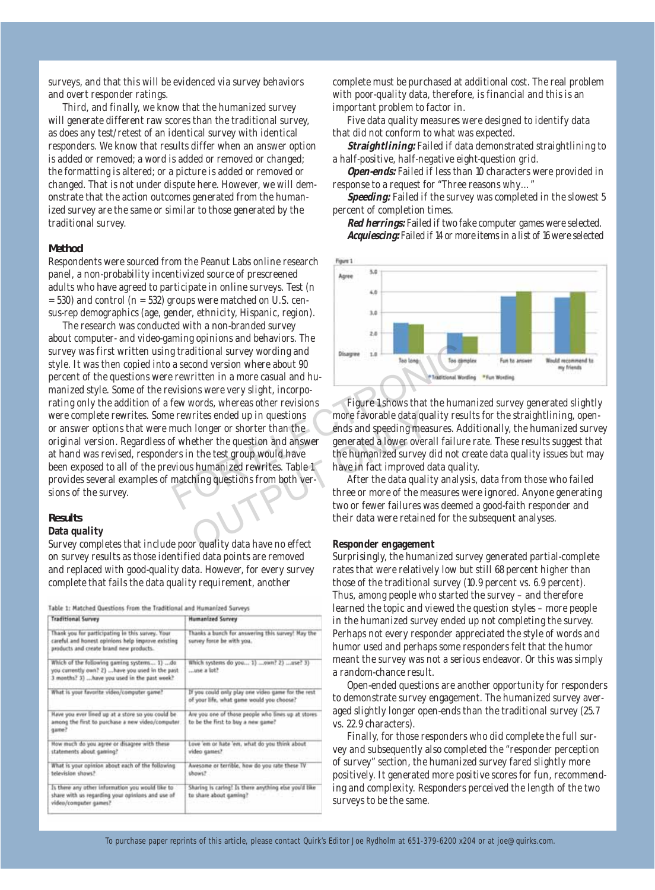surveys, and that this will be evidenced via survey behaviors and overt responder ratings.

Third, and finally, we know that the humanized survey will generate different raw scores than the traditional survey, as does any test/retest of an identical survey with identical responders. We know that results differ when an answer option is added or removed; a word is added or removed or changed; the formatting is altered; or a picture is added or removed or changed. That is not under dispute here. However, we will demonstrate that the action outcomes generated from the humanized survey are the same or similar to those generated by the traditional survey.

# **Method**

Respondents were sourced from the Peanut Labs online research panel, a non-probability incentivized source of prescreened adults who have agreed to participate in online surveys. Test (n  $= 530$ ) and control (n  $= 532$ ) groups were matched on U.S. census-rep demographics (age, gender, ethnicity, Hispanic, region).

The research was conducted with a non-branded survey about computer- and video-gaming opinions and behaviors. The survey was first written using traditional survey wording and style. It was then copied into a second version where about 90 percent of the questions were rewritten in a more casual and humanized style. Some of the revisions were very slight, incorporating only the addition of a few words, whereas other revisions were complete rewrites. Some rewrites ended up in questions or answer options that were much longer or shorter than the original version. Regardless of whether the question and answer at hand was revised, responders in the test group would have been exposed to all of the previous humanized rewrites. Table 1 provides several examples of matching questions from both versions of the survey. For the mass of the start of the measures of the measure of the measure of the measure of the measure of the measure of the measure of the measure of the measure of the measure of the measure of the measure of the measure Fitter ended up in questions more favorable data quantity in the purpose of the purpose of the test group would have the humanized a lower over<br>a the test group would have the humanized survey of shumanized rewrites. Table

## **Results**

# **Data quality**

Survey completes that include poor quality data have no effect on survey results as those identified data points are removed and replaced with good-quality data. However, for every survey complete that fails the data quality requirement, another

Table 1: Matched Questions From the Traditional and Humanized Surveys

| Traditional Survey                                                                                                                                | <b>Humanized Survey</b>                                                                         |
|---------------------------------------------------------------------------------------------------------------------------------------------------|-------------------------------------------------------------------------------------------------|
| Thank you for participating in this survey. Your<br>careful and honest opinions help improve existing<br>products and create brand new products.  | Thanks a bunch for answering this survey! May the<br>survey force be with you.                  |
| Which of the following gaming systems 1) do.<br>you currently own? 2)  have you used in the past<br>3 months? 3)  have you used in the past week? | $55$ ol a was                                                                                   |
| What is your favorite video/computer game?                                                                                                        | If you could only play one video game for the rest<br>of your life, what game would you choose? |
| Have you ever lined up at a store so you could be<br>among the first to purchase a new video/computer<br>qame?                                    | Are you one of those people who lines up at stores<br>to be the first to buy a new game?        |
| How much do you agree or disagree with these<br>statements about gaming?                                                                          | Love 'em or hate 'em, what do you think about<br>video games?                                   |
| What is your opinion about each of the following<br>Tawali naisivalst                                                                             | Awesome or terrible, how do you rate these TV<br>shows?                                         |
| Is there any other information you would like to<br>share with us regarding your opinions and use of<br>video/computer games?                     | Sharing is caring! Is there anything else you'd like<br>to share about gaming?                  |

complete must be purchased at additional cost. The real problem with poor-quality data, therefore, is financial and this is an important problem to factor in.

Five data quality measures were designed to identify data that did not conform to what was expected.

**Straightlining:** Failed if data demonstrated straightlining to a half-positive, half-negative eight-question grid.

**Open-ends:** Failed if less than 10 characters were provided in response to a request for "Three reasons why…"

Speeding: Failed if the survey was completed in the slowest 5 percent of completion times.

**Red herrings:** Failed if two fake computer games were selected. **Acquiescing:** Failed if 14 or more items in a list of 16 were selected



Figure 1 shows that the humanized survey generated slightly more favorable data quality results for the straightlining, openends and speeding measures. Additionally, the humanized survey generated a lower overall failure rate. These results suggest that the humanized survey did not create data quality issues but may have in fact improved data quality.

After the data quality analysis, data from those who failed three or more of the measures were ignored. Anyone generating two or fewer failures was deemed a good-faith responder and their data were retained for the subsequent analyses.

# **Responder engagement**

Surprisingly, the humanized survey generated partial-complete rates that were relatively low but still 68 percent higher than those of the traditional survey (10.9 percent vs. 6.9 percent). Thus, among people who started the survey – and therefore learned the topic and viewed the question styles – more people in the humanized survey ended up not completing the survey. Perhaps not every responder appreciated the style of words and humor used and perhaps some responders felt that the humor meant the survey was not a serious endeavor. Or this was simply a random-chance result.

Open-ended questions are another opportunity for responders to demonstrate survey engagement. The humanized survey averaged slightly longer open-ends than the traditional survey (25.7 vs. 22.9 characters).

Finally, for those responders who did complete the full survey and subsequently also completed the "responder perception of survey" section, the humanized survey fared slightly more positively. It generated more positive scores for fun, recommending and complexity. Responders perceived the length of the two surveys to be the same.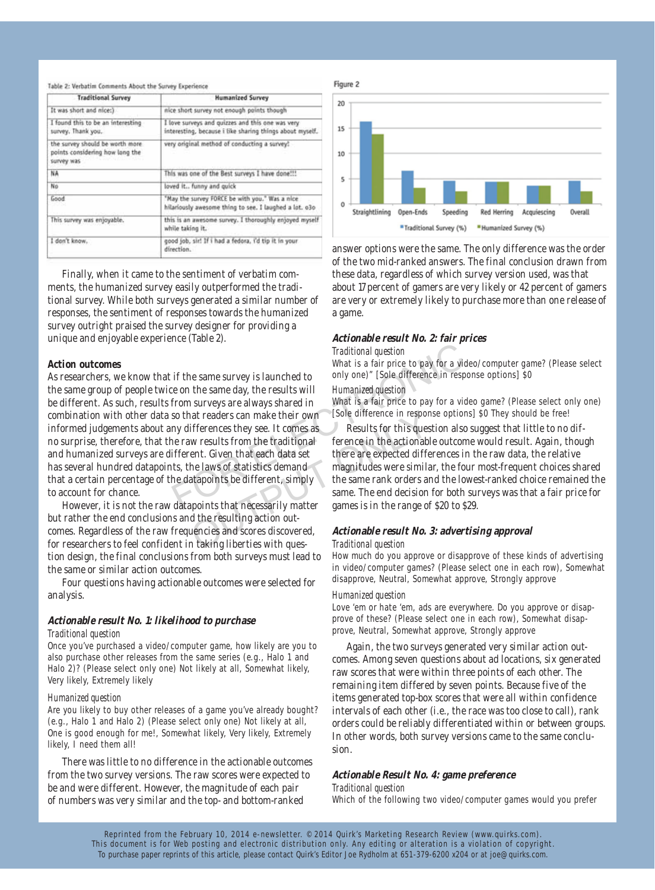| <b>Traditional Survey</b>                                                        | <b>Humanized Survey</b>                                                                                      |
|----------------------------------------------------------------------------------|--------------------------------------------------------------------------------------------------------------|
| It was short and nice:)                                                          | nice short survey not enough points though                                                                   |
| I found this to be an interesting<br>survey. Thank you,                          | I love surveys and quizzes and this one was very<br>interesting, because i like sharing things about myself. |
| the survey should be worth more<br>points considering how long the<br>survey was | very original method of conducting a survey?                                                                 |
| NA                                                                               | This was one of the Best surveys I have done !!!                                                             |
| No                                                                               | loved it., funny and quick                                                                                   |
| Good                                                                             | "May the survey FORCE be with you." Was a nice<br>hilariously awesome thing to see. I laughed a lot. 030     |
| This survey was enjoyable.                                                       | this is an awesome survey. I thoroughly enjoyed myself<br>while taking it.                                   |
| I don't know.                                                                    | good job, sir! If i had a fedora, i'd tip it in your<br>direction.                                           |

Finally, when it came to the sentiment of verbatim comments, the humanized survey easily outperformed the traditional survey. While both surveys generated a similar number of responses, the sentiment of responses towards the humanized survey outright praised the survey designer for providing a unique and enjoyable experience (Table 2).

# **Action outcomes**

As researchers, we know that if the same survey is launched to the same group of people twice on the same day, the results will be different. As such, results from surveys are always shared in combination with other data so that readers can make their own informed judgements about any differences they see. It comes as no surprise, therefore, that the raw results from the traditional and humanized surveys are different. Given that each data set has several hundred datapoints, the laws of statistics demand that a certain percentage of the datapoints be different, simply to account for chance. Traditional question<br>
What is a fair price to pay for a video<br>
if the same survey is launched to<br>
comply one)" [Sole difference in response<br>
on the same day, the results will<br>
from surveys are always shared in<br>
What is a f and readers can make their own [Sole difference in respont<br>ifferences they see. It comes as a sexults for this ques<br>w results from the traditional ference in the actionable<br>ent. Given that each data set there are expected

However, it is not the raw datapoints that necessarily matter but rather the end conclusions and the resulting action outcomes. Regardless of the raw frequencies and scores discovered, for researchers to feel confident in taking liberties with question design, the final conclusions from both surveys must lead to the same or similar action outcomes.

Four questions having actionable outcomes were selected for analysis.

# **Actionable result No. 1: likelihood to purchase** *Traditional question*

Once you've purchased a video/computer game, how likely are you to also purchase other releases from the same series (e.g., Halo 1 and Halo 2)? (Please select only one) Not likely at all, Somewhat likely, Very likely, Extremely likely

## *Humanized question*

Are you likely to buy other releases of a game you've already bought? (e.g., Halo 1 and Halo 2) (Please select only one) Not likely at all, One is good enough for me!, Somewhat likely, Very likely, Extremely likely, I need them all!

There was little to no difference in the actionable outcomes from the two survey versions. The raw scores were expected to be and were different. However, the magnitude of each pair of numbers was very similar and the top- and bottom-ranked



answer options were the same. The only difference was the order of the two mid-ranked answers. The final conclusion drawn from these data, regardless of which survey version used, was that about 17 percent of gamers are very likely or 42 percent of gamers are very or extremely likely to purchase more than one release of a game.

# **Actionable result No. 2: fair prices**

#### *Traditional question*

What is a fair price to pay for a video/computer game? (Please select only one)" [Sole difference in response options] \$0

## *Humanized question*

What is a fair price to pay for a video game? (Please select only one) [Sole difference in response options] \$0 They should be free!

Results for this question also suggest that little to no difference in the actionable outcome would result. Again, though there are expected differences in the raw data, the relative magnitudes were similar, the four most-frequent choices shared the same rank orders and the lowest-ranked choice remained the same. The end decision for both surveys was that a fair price for games is in the range of \$20 to \$29.

# **Actionable result No. 3: advertising approval** *Traditional question*

How much do you approve or disapprove of these kinds of advertising in video/computer games? (Please select one in each row), Somewhat disapprove, Neutral, Somewhat approve, Strongly approve

## *Humanized question*

Love 'em or hate 'em, ads are everywhere. Do you approve or disapprove of these? (Please select one in each row), Somewhat disapprove, Neutral, Somewhat approve, Strongly approve

Again, the two surveys generated very similar action outcomes. Among seven questions about ad locations, six generated raw scores that were within three points of each other. The remaining item differed by seven points. Because five of the items generated top-box scores that were all within confidence intervals of each other (i.e., the race was too close to call), rank orders could be reliably differentiated within or between groups. In other words, both survey versions came to the same conclusion.

## **Actionable Result No. 4: game preference**

*Traditional question*

Which of the following two video/computer games would you prefer

Reprinted from the February 10, 2014 e-newsletter. © 2014 Quirk's Marketing Research Review (www.quirks.com). This document is for Web posting and electronic distribution only. Any editing or alteration is a violation of copyright. To purchase paper reprints of this article, please contact Quirk's Editor Joe Rydholm at 651-379-6200 x204 or at joe@quirks.com.

#### Table 2: Verbatim Comments About the Survey Experience